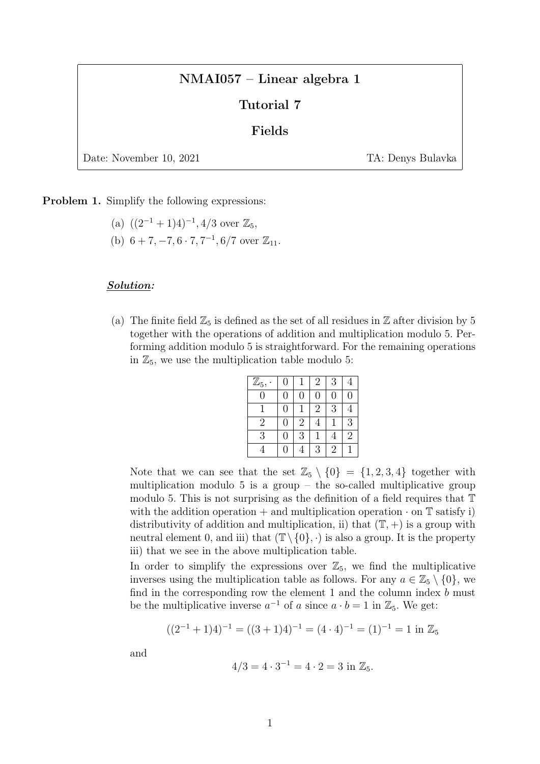# NMAI057 – Linear algebra 1

# Tutorial 7

# Fields

Date: November 10, 2021 TA: Denys Bulavka

Problem 1. Simplify the following expressions:

(a)  $((2^{-1}+1)4)^{-1}$ , 4/3 over  $\mathbb{Z}_5$ , (b)  $6 + 7, -7, 6 \cdot 7, 7^{-1}, 6/7$  over  $\mathbb{Z}_{11}$ .

## Solution:

(a) The finite field  $\mathbb{Z}_5$  is defined as the set of all residues in  $\mathbb Z$  after division by 5 together with the operations of addition and multiplication modulo 5. Performing addition modulo 5 is straightforward. For the remaining operations in  $\mathbb{Z}_5$ , we use the multiplication table modulo 5:

| $\mathbb{Z}_5$ , | 0 |                | $\overline{2}$ | 3              | 4              |
|------------------|---|----------------|----------------|----------------|----------------|
| $\Omega$         | 0 | 0              | 0              | 0              | O              |
|                  | 0 | 1              | $\overline{2}$ | 3              | 4              |
| 2                | 0 | $\mathfrak{D}$ |                |                | 3              |
| 3                | 0 | 3              |                |                | $\overline{2}$ |
|                  | 0 | 4              | 3              | $\overline{2}$ |                |

Note that we can see that the set  $\mathbb{Z}_5 \setminus \{0\} = \{1, 2, 3, 4\}$  together with multiplication modulo 5 is a group – the so-called multiplicative group modulo 5. This is not surprising as the definition of a field requires that T with the addition operation + and multiplication operation  $\cdot$  on  $\mathbb T$  satisfy i) distributivity of addition and multiplication, ii) that  $(\mathbb{T}, +)$  is a group with neutral element 0, and iii) that  $(\mathbb{T}\setminus\{0\},\cdot)$  is also a group. It is the property iii) that we see in the above multiplication table.

In order to simplify the expressions over  $\mathbb{Z}_5$ , we find the multiplicative inverses using the multiplication table as follows. For any  $a \in \mathbb{Z}_5 \setminus \{0\}$ , we find in the corresponding row the element 1 and the column index  $b$  must be the multiplicative inverse  $a^{-1}$  of a since  $a \cdot b = 1$  in  $\mathbb{Z}_5$ . We get:

$$
((2^{-1} + 1)4)^{-1} = ((3 + 1)4)^{-1} = (4 \cdot 4)^{-1} = (1)^{-1} = 1
$$
 in  $\mathbb{Z}_5$ 

and

$$
4/3 = 4 \cdot 3^{-1} = 4 \cdot 2 = 3
$$
 in  $\mathbb{Z}_5$ .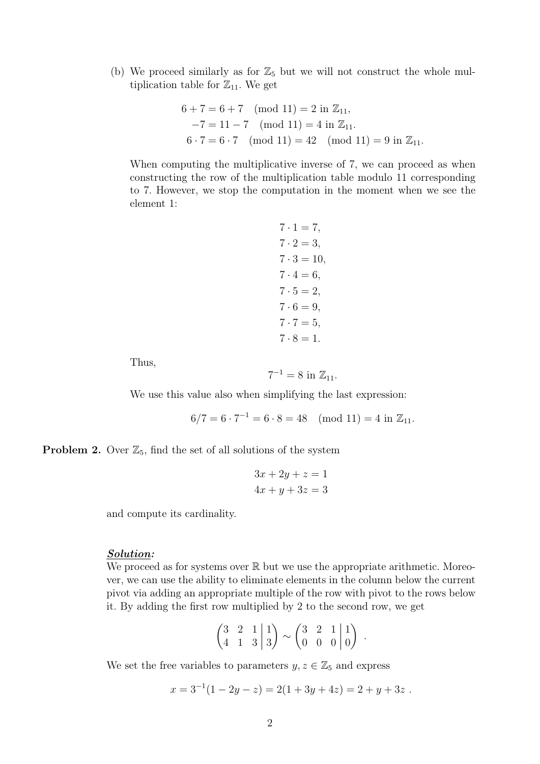(b) We proceed similarly as for  $\mathbb{Z}_5$  but we will not construct the whole multiplication table for  $\mathbb{Z}_{11}$ . We get

$$
6 + 7 = 6 + 7 \pmod{11} = 2 \text{ in } \mathbb{Z}_{11},
$$
  
-7 = 11 - 7 \pmod{11} = 4 \text{ in } \mathbb{Z}\_{11}.  
6 \cdot 7 = 6 \cdot 7 \pmod{11} = 42 \pmod{11} = 9 \text{ in } \mathbb{Z}\_{11}.

When computing the multiplicative inverse of 7, we can proceed as when constructing the row of the multiplication table modulo 11 corresponding to 7. However, we stop the computation in the moment when we see the element 1:

$$
7 \cdot 1 = 7,\n7 \cdot 2 = 3,\n7 \cdot 3 = 10,\n7 \cdot 4 = 6,\n7 \cdot 5 = 2,\n7 \cdot 6 = 9,\n7 \cdot 7 = 5,\n7 \cdot 8 = 1.
$$

Thus,

$$
7^{-1} = 8 \text{ in } \mathbb{Z}_{11}.
$$

We use this value also when simplifying the last expression:

$$
6/7 = 6 \cdot 7^{-1} = 6 \cdot 8 = 48 \pmod{11} = 4 \text{ in } \mathbb{Z}_{11}.
$$

**Problem 2.** Over  $\mathbb{Z}_5$ , find the set of all solutions of the system

$$
3x + 2y + z = 1
$$

$$
4x + y + 3z = 3
$$

and compute its cardinality.

#### Solution:

We proceed as for systems over  $\mathbb R$  but we use the appropriate arithmetic. Moreover, we can use the ability to eliminate elements in the column below the current pivot via adding an appropriate multiple of the row with pivot to the rows below it. By adding the first row multiplied by 2 to the second row, we get

$$
\begin{pmatrix} 3 & 2 & 1 & | & 1 \\ 4 & 1 & 3 & | & 3 \end{pmatrix} \sim \begin{pmatrix} 3 & 2 & 1 & | & 1 \\ 0 & 0 & 0 & | & 0 \end{pmatrix}.
$$

We set the free variables to parameters  $y, z \in \mathbb{Z}_5$  and express

$$
x = 3^{-1}(1 - 2y - z) = 2(1 + 3y + 4z) = 2 + y + 3z.
$$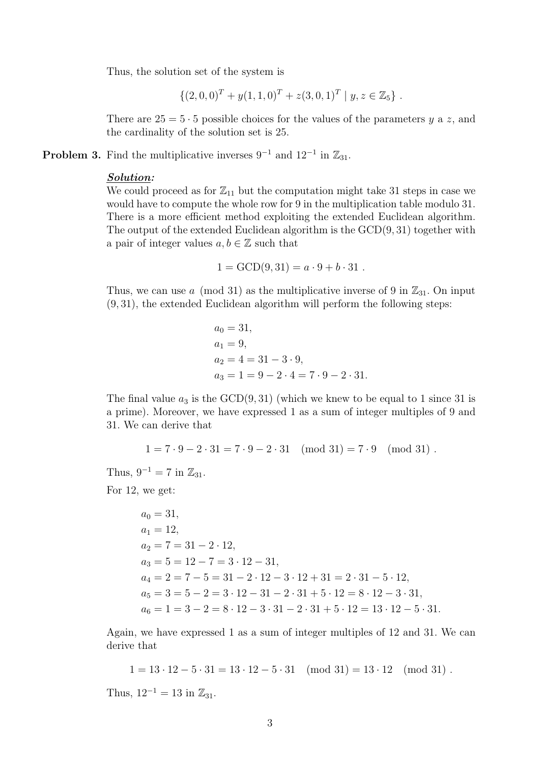Thus, the solution set of the system is

$$
\{(2,0,0)^{T} + y(1,1,0)^{T} + z(3,0,1)^{T} | y, z \in \mathbb{Z}_{5}\}.
$$

There are  $25 = 5 \cdot 5$  possible choices for the values of the parameters y a z, and the cardinality of the solution set is 25.

**Problem 3.** Find the multiplicative inverses  $9^{-1}$  and  $12^{-1}$  in  $\mathbb{Z}_{31}$ .

#### Solution:

We could proceed as for  $\mathbb{Z}_{11}$  but the computation might take 31 steps in case we would have to compute the whole row for 9 in the multiplication table modulo 31. There is a more efficient method exploiting the extended Euclidean algorithm. The output of the extended Euclidean algorithm is the GCD(9, 31) together with a pair of integer values  $a, b \in \mathbb{Z}$  such that

$$
1 = GCD(9, 31) = a \cdot 9 + b \cdot 31.
$$

Thus, we can use a (mod 31) as the multiplicative inverse of 9 in  $\mathbb{Z}_{31}$ . On input (9, 31), the extended Euclidean algorithm will perform the following steps:

$$
a_0 = 31,
$$
  
\n $a_1 = 9,$   
\n $a_2 = 4 = 31 - 3 \cdot 9,$   
\n $a_3 = 1 = 9 - 2 \cdot 4 = 7 \cdot 9 - 2 \cdot 31.$ 

The final value  $a_3$  is the GCD(9, 31) (which we knew to be equal to 1 since 31 is a prime). Moreover, we have expressed 1 as a sum of integer multiples of 9 and 31. We can derive that

$$
1 = 7 \cdot 9 - 2 \cdot 31 = 7 \cdot 9 - 2 \cdot 31 \pmod{31} = 7 \cdot 9 \pmod{31}.
$$

Thus,  $9^{-1} = 7$  in  $\mathbb{Z}_{31}$ .

For 12, we get:

$$
a_0 = 31,
$$
  
\n
$$
a_1 = 12,
$$
  
\n
$$
a_2 = 7 = 31 - 2 \cdot 12,
$$
  
\n
$$
a_3 = 5 = 12 - 7 = 3 \cdot 12 - 31,
$$
  
\n
$$
a_4 = 2 = 7 - 5 = 31 - 2 \cdot 12 - 3 \cdot 12 + 31 = 2 \cdot 31 - 5 \cdot 12,
$$
  
\n
$$
a_5 = 3 = 5 - 2 = 3 \cdot 12 - 31 - 2 \cdot 31 + 5 \cdot 12 = 8 \cdot 12 - 3 \cdot 31,
$$
  
\n
$$
a_6 = 1 = 3 - 2 = 8 \cdot 12 - 3 \cdot 31 - 2 \cdot 31 + 5 \cdot 12 = 13 \cdot 12 - 5 \cdot 31.
$$

Again, we have expressed 1 as a sum of integer multiples of 12 and 31. We can derive that

 $1 = 13 \cdot 12 - 5 \cdot 31 = 13 \cdot 12 - 5 \cdot 31 \pmod{31} = 13 \cdot 12 \pmod{31}.$ 

Thus,  $12^{-1} = 13$  in  $\mathbb{Z}_{31}$ .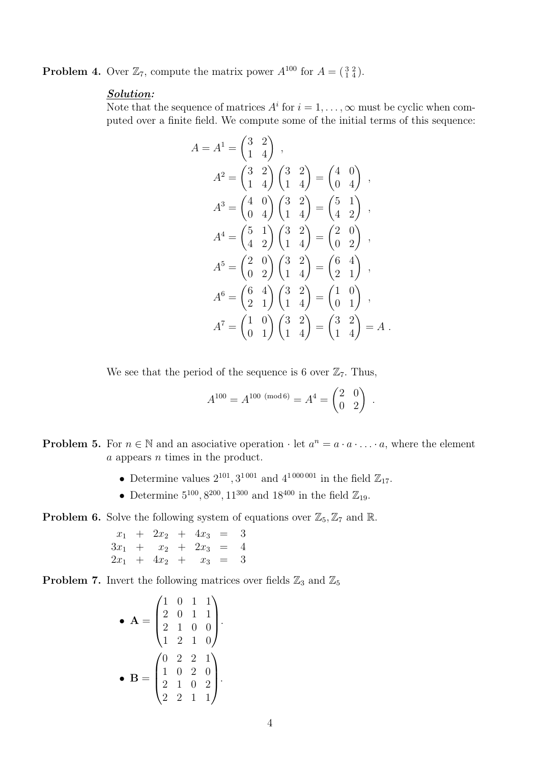**Problem 4.** Over  $\mathbb{Z}_7$ , compute the matrix power  $A^{100}$  for  $A = \begin{pmatrix} 3 & 2 \\ 1 & 4 \end{pmatrix}$ .

### Solution:

Note that the sequence of matrices  $A^i$  for  $i = 1, \ldots, \infty$  must be cyclic when computed over a finite field. We compute some of the initial terms of this sequence:

$$
A = A^{1} = \begin{pmatrix} 3 & 2 \\ 1 & 4 \end{pmatrix} ,
$$
  
\n
$$
A^{2} = \begin{pmatrix} 3 & 2 \\ 1 & 4 \end{pmatrix} \begin{pmatrix} 3 & 2 \\ 1 & 4 \end{pmatrix} = \begin{pmatrix} 4 & 0 \\ 0 & 4 \end{pmatrix} ,
$$
  
\n
$$
A^{3} = \begin{pmatrix} 4 & 0 \\ 0 & 4 \end{pmatrix} \begin{pmatrix} 3 & 2 \\ 1 & 4 \end{pmatrix} = \begin{pmatrix} 5 & 1 \\ 4 & 2 \end{pmatrix} ,
$$
  
\n
$$
A^{4} = \begin{pmatrix} 5 & 1 \\ 4 & 2 \end{pmatrix} \begin{pmatrix} 3 & 2 \\ 1 & 4 \end{pmatrix} = \begin{pmatrix} 2 & 0 \\ 0 & 2 \end{pmatrix} ,
$$
  
\n
$$
A^{5} = \begin{pmatrix} 2 & 0 \\ 0 & 2 \end{pmatrix} \begin{pmatrix} 3 & 2 \\ 1 & 4 \end{pmatrix} = \begin{pmatrix} 6 & 4 \\ 2 & 1 \end{pmatrix} ,
$$
  
\n
$$
A^{6} = \begin{pmatrix} 6 & 4 \\ 2 & 1 \end{pmatrix} \begin{pmatrix} 3 & 2 \\ 1 & 4 \end{pmatrix} = \begin{pmatrix} 1 & 0 \\ 0 & 1 \end{pmatrix} ,
$$
  
\n
$$
A^{7} = \begin{pmatrix} 1 & 0 \\ 0 & 1 \end{pmatrix} \begin{pmatrix} 3 & 2 \\ 1 & 4 \end{pmatrix} = \begin{pmatrix} 3 & 2 \\ 1 & 4 \end{pmatrix} = A .
$$

We see that the period of the sequence is 6 over  $\mathbb{Z}_7$ . Thus,

$$
A^{100} = A^{100 \text{ (mod } 6)} = A^4 = \begin{pmatrix} 2 & 0 \\ 0 & 2 \end{pmatrix}.
$$

- **Problem 5.** For  $n \in \mathbb{N}$  and an associative operation  $\cdot$  let  $a^n = a \cdot a \cdot \ldots \cdot a$ , where the element a appears n times in the product.
	- Determine values  $2^{101}$ ,  $3^{1001}$  and  $4^{1000001}$  in the field  $\mathbb{Z}_{17}$ .
	- Determine  $5^{100}$ ,  $8^{200}$ ,  $11^{300}$  and  $18^{400}$  in the field  $\mathbb{Z}_{19}$ .

**Problem 6.** Solve the following system of equations over  $\mathbb{Z}_5$ ,  $\mathbb{Z}_7$  and  $\mathbb{R}$ .

 $x_1 + 2x_2 + 4x_3 = 3$  $3x_1 + x_2 + 2x_3 = 4$  $2x_1 + 4x_2 + x_3 = 3$ 

**Problem 7.** Invert the following matrices over fields  $\mathbb{Z}_3$  and  $\mathbb{Z}_5$ 

• 
$$
\mathbf{A} = \begin{pmatrix} 1 & 0 & 1 & 1 \\ 2 & 0 & 1 & 1 \\ 2 & 1 & 0 & 0 \\ 1 & 2 & 1 & 0 \end{pmatrix}.
$$
  
\n•  $\mathbf{B} = \begin{pmatrix} 0 & 2 & 2 & 1 \\ 1 & 0 & 2 & 0 \\ 2 & 1 & 0 & 2 \\ 2 & 2 & 1 & 1 \end{pmatrix}.$